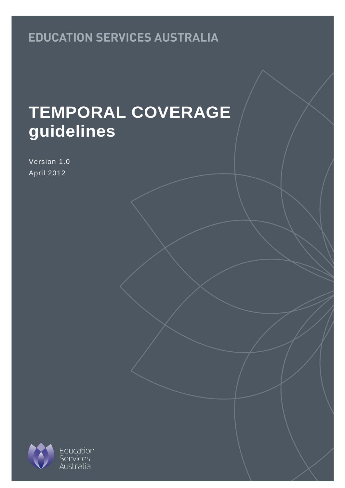# **TEMPORAL COVERAGE guidelines**

Version 1.0 April 2012

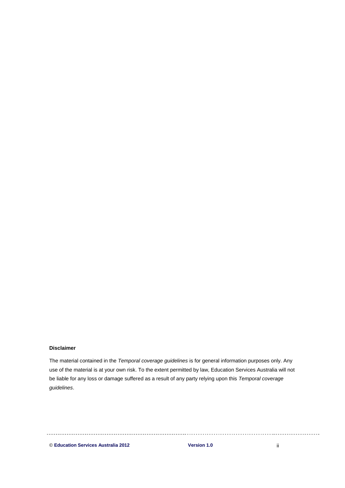#### **Disclaimer**

The material contained in the *Temporal coverage guidelines* is for general information purposes only. Any use of the material is at your own risk. To the extent permitted by law, Education Services Australia will not be liable for any loss or damage suffered as a result of any party relying upon this *Temporal coverage guidelines*.

© **Education Services Australia 2012 Version 1.0** ii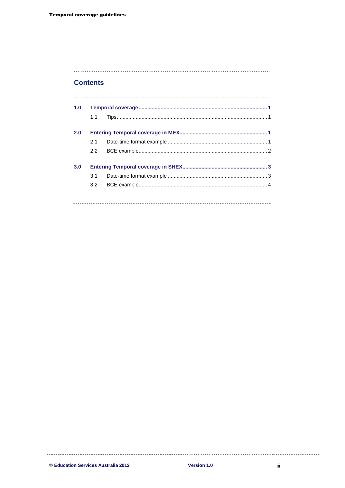#### 

## **Contents**

| 1.0 |               |  |  |  |  |  |  |
|-----|---------------|--|--|--|--|--|--|
|     | 1.1           |  |  |  |  |  |  |
| 2.0 |               |  |  |  |  |  |  |
|     | 2.1           |  |  |  |  |  |  |
|     | $2.2^{\circ}$ |  |  |  |  |  |  |
| 3.0 |               |  |  |  |  |  |  |
|     | 3.1           |  |  |  |  |  |  |
|     | 3.2           |  |  |  |  |  |  |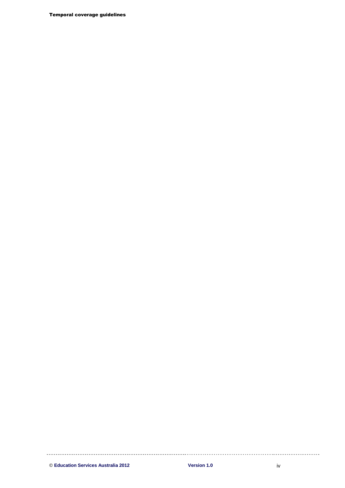Temporal coverage guidelines

© **Education Services Australia 2012 Version 1.0** iv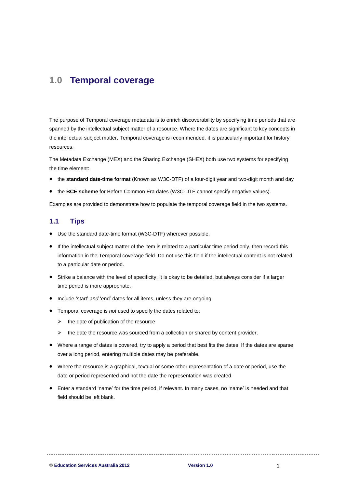## <span id="page-4-0"></span>**1.0 Temporal coverage**

The purpose of Temporal coverage metadata is to enrich discoverability by specifying time periods that are spanned by the intellectual subject matter of a resource. Where the dates are significant to key concepts in the intellectual subject matter, Temporal coverage is recommended. it is particularly important for history resources.

The Metadata Exchange (MEX) and the Sharing Exchange (SHEX) both use two systems for specifying the time element:

- the **standard date-time format** (Known as W3C-DTF) of a four-digit year and two-digit month and day
- the **BCE scheme** for Before Common Era dates (W3C-DTF cannot specify negative values).

Examples are provided to demonstrate how to populate the temporal coverage field in the two systems.

#### <span id="page-4-1"></span>**1.1 Tips**

- Use the standard date-time format (W3C-DTF) wherever possible.
- If the intellectual subject matter of the item is related to a particular time period only, then record this information in the Temporal coverage field. Do not use this field if the intellectual content is not related to a particular date or period.
- Strike a balance with the level of specificity. It is okay to be detailed, but always consider if a larger time period is more appropriate.
- Include 'start' *and* 'end' dates for all items, unless they are ongoing.
- Temporal coverage is *not* used to specify the dates related to:
	- $\triangleright$  the date of publication of the resource
	- $\triangleright$  the date the resource was sourced from a collection or shared by content provider.
- Where a range of dates is covered, try to apply a period that best fits the dates. If the dates are sparse over a long period, entering multiple dates may be preferable.
- Where the resource is a graphical, textual or some other representation of a date or period, use the date or period represented and not the date the representation was created.
- Enter a standard 'name' for the time period, if relevant. In many cases, no 'name' is needed and that field should be left blank.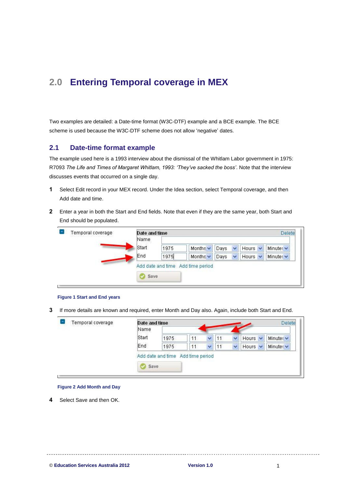## <span id="page-5-0"></span>**2.0 Entering Temporal coverage in MEX**

Two examples are detailed: a Date-time format (W3C-DTF) example and a BCE example. The BCE scheme is used because the W3C-DTF scheme does not allow 'negative' dates.

### <span id="page-5-1"></span>**2.1 Date-time format example**

The example used here is a 1993 interview about the dismissal of the Whitlam Labor government in 1975: R7093 *The Life and Times of Margaret Whitlam, 1993: 'They've sacked the boss'*. Note that the interview discusses events that occurred on a single day.

- **1** Select Edit record in your MEX record. Under the Idea section, select Temporal coverage, and then Add date and time.
- **2** Enter a year in both the Start and End fields. Note that even if they are the same year, both Start and End should be populated.

| Temporal coverage | <b>Delete</b><br>Date and time |      |                                   |              |                              |              |                        |
|-------------------|--------------------------------|------|-----------------------------------|--------------|------------------------------|--------------|------------------------|
|                   | Name                           |      |                                   |              |                              |              |                        |
|                   | Start                          | 1975 | Months $\vee$                     | Days<br>Days | $\checkmark$<br>$\checkmark$ | Hours $\vee$ | Minutes v<br>Minutes v |
|                   | End                            | 1975 | Months $\vee$                     |              |                              | Hours $\vee$ |                        |
|                   |                                |      | Add date and time Add time period |              |                              |              |                        |
|                   | Save                           |      |                                   |              |                              |              |                        |

#### **Figure 1 Start and End years**

**3** If more details are known and required, enter Month and Day also. Again, include both Start and End.

| Temporal coverage | Date and time                     |      |    |   |    |              |              | <b>Deletel</b> |
|-------------------|-----------------------------------|------|----|---|----|--------------|--------------|----------------|
|                   | Name                              |      |    |   |    |              |              |                |
|                   | Start<br>End                      | 1975 | 11 | Ÿ | 11 | Y            | Hours $\vee$ | Minutes v      |
|                   |                                   | 1975 | 11 | v | 11 | $\checkmark$ | Hours $\vee$ | Minutes v      |
|                   | Add date and time Add time period |      |    |   |    |              |              |                |
|                   | Save                              |      |    |   |    |              |              |                |

#### **Figure 2 Add Month and Day**

**4** Select Save and then OK.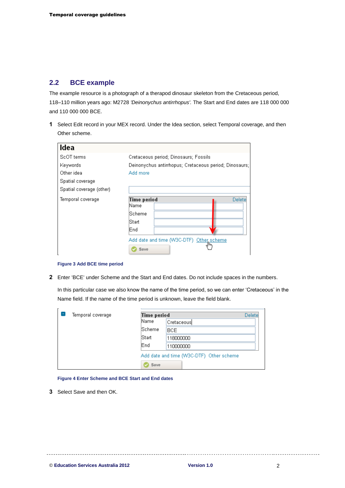## <span id="page-6-0"></span>**2.2 BCE example**

The example resource is a photograph of a therapod dinosaur skeleton from the Cretaceous period, 118–110 million years ago: M2728 *'Deinonychus antirrhopus'.* The Start and End dates are 118 000 000 and 110 000 000 BCE.

**1** Select Edit record in your MEX record. Under the Idea section, select Temporal coverage, and then Other scheme.

| Idea                     |                                          |                                                        |
|--------------------------|------------------------------------------|--------------------------------------------------------|
| ScOT terms               | Cretaceous period; Dinosaurs; Fossils    |                                                        |
| Keywords                 |                                          | Deinonychus antirrhopus; Cretaceous period; Dinosaurs; |
| Other idea               | Add more                                 |                                                        |
| Spatial coverage         |                                          |                                                        |
| Spatial coverage (other) |                                          |                                                        |
| Temporal coverage        | Time period                              | Deletel                                                |
|                          | Name                                     |                                                        |
|                          | Scheme                                   |                                                        |
|                          | Start                                    |                                                        |
|                          | lEnd.                                    |                                                        |
|                          | Add date and time (W3C-DTF) Other scheme |                                                        |
|                          | Save                                     |                                                        |

#### **Figure 3 Add BCE time period**

**2** Enter 'BCE' under Scheme and the Start and End dates. Do not include spaces in the numbers.

In this particular case we also know the name of the time period, so we can enter 'Cretaceous' in the Name field. If the name of the time period is unknown, leave the field blank.

| Temporal coverage | Time period |                                          |  |  |
|-------------------|-------------|------------------------------------------|--|--|
|                   | Name        | Cretaceous                               |  |  |
|                   | Scheme      | <b>BCE</b>                               |  |  |
|                   | Start       | 118000000                                |  |  |
|                   | End         | 110000000                                |  |  |
|                   | Save        | Add date and time (W3C-DTF) Other scheme |  |  |

#### **Figure 4 Enter Scheme and BCE Start and End dates**

**3** Select Save and then OK.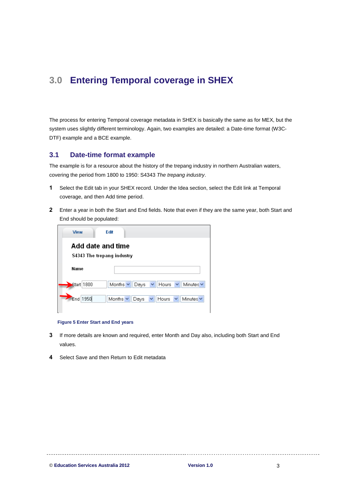## <span id="page-7-0"></span>**3.0 Entering Temporal coverage in SHEX**

The process for entering Temporal coverage metadata in SHEX is basically the same as for MEX, but the system uses slightly different terminology. Again, two examples are detailed: a Date-time format (W3C-DTF) example and a BCE example.

#### <span id="page-7-1"></span>**3.1 Date-time format example**

The example is for a resource about the history of the trepang industry in northern Australian waters, covering the period from 1800 to 1950: S4343 *The trepang industry*.

- **1** Select the Edit tab in your SHEX record. Under the Idea section, select the Edit link at Temporal coverage, and then Add time period.
- **2** Enter a year in both the Start and End fields. Note that even if they are the same year, both Start and End should be populated:

| <b>View</b>       | Fdit                                                             |
|-------------------|------------------------------------------------------------------|
| Add date and time | S4343 The trepang industry                                       |
| Name              |                                                                  |
| Start 1800        | Minutes <sup>V</sup><br>Months $\vee$<br>Hours<br>Days<br>v<br>v |
| End 1950          | Minutes $\vee$<br>Months $\vee$<br>Hours<br>Days<br>×.<br>v      |

**Figure 5 Enter Start and End years**

- **3** If more details are known and required, enter Month and Day also, including both Start and End values.
- **4** Select Save and then Return to Edit metadata